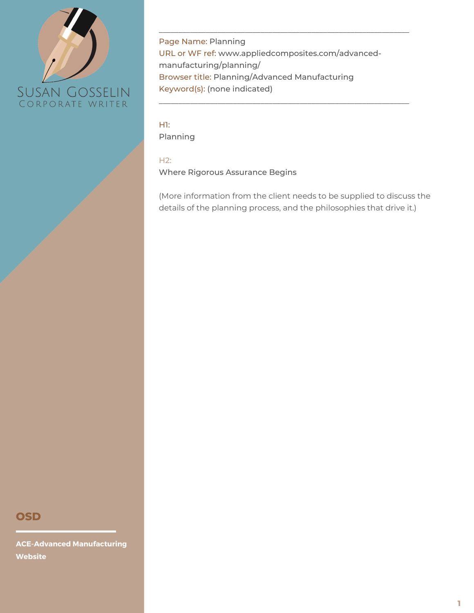

Page Name: Planning URL or WF ref: www.appliedcomposites.com/advancedmanufacturing/planning/ Browser title: Planning/Advanced Manufacturing Keyword(s): (none indicated)

\_\_\_\_\_\_\_\_\_\_\_\_\_\_\_\_\_\_\_\_\_\_\_\_\_\_\_\_\_\_\_\_\_\_\_\_\_\_\_\_\_\_\_\_\_\_\_\_\_\_\_\_\_\_\_\_\_\_\_\_\_\_\_\_

\_\_\_\_\_\_\_\_\_\_\_\_\_\_\_\_\_\_\_\_\_\_\_\_\_\_\_\_\_\_\_\_\_\_\_\_\_\_\_\_\_\_\_\_\_\_\_\_\_\_\_\_\_\_\_\_\_\_\_\_\_\_\_\_

H1: Planning

H2:

Where Rigorous Assurance Begins

(More information from the client needs to be supplied to discuss the details of the planning process, and the philosophies that drive it.)

## **OSD**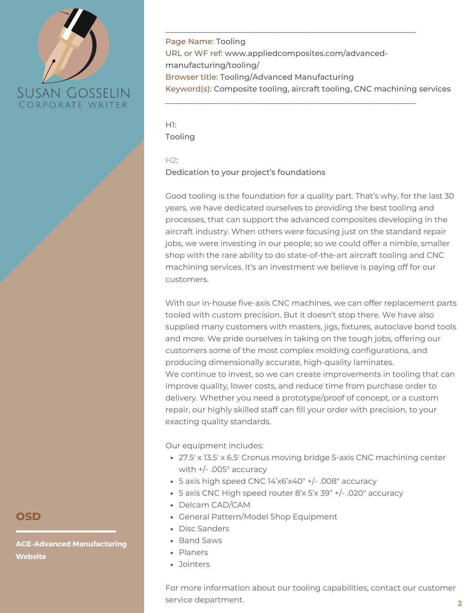

Page Name: Tooling URL or WF ref: www.appliedcomposites.com/advancedmanufacturing/tooling/ Browser title: Tooling/Advanced Manufacturing Keyword(s): Composite tooling, aircraft tooling, CNC machining services

\_\_\_\_\_\_\_\_\_\_\_\_\_\_\_\_\_\_\_\_\_\_\_\_\_\_\_\_\_\_\_\_\_\_\_\_\_\_\_\_\_\_\_\_\_\_\_\_\_\_\_\_\_\_\_\_\_\_\_\_\_\_\_\_

\_\_\_\_\_\_\_\_\_\_\_\_\_\_\_\_\_\_\_\_\_\_\_\_\_\_\_\_\_\_\_\_\_\_\_\_\_\_\_\_\_\_\_\_\_\_\_\_\_\_\_\_\_\_\_\_\_\_\_\_\_\_\_\_

H1: Tooling

### $H2:$

Dedication to your project's foundations

Good tooling is the foundation for a quality part. That's why, for the last 30 years, we have dedicated ourselves to providing the best tooling and processes, that can support the advanced composites developing in the aircraft industry. When others were focusing just on the standard repair jobs, we were investing in our people; so we could offer a nimble, smaller shop with the rare ability to do state-of-the-art aircraft tooling and CNC machining services. It's an investment we believe is paying off for our customers.

With our in-house five-axis CNC machines, we can offer replacement parts tooled with custom precision. But it doesn't stop there. We have also supplied many customers with masters, jigs, fixtures, autoclave bond tools and more. We pride ourselves in taking on the tough jobs, offering our customers some of the most complex molding configurations, and producing dimensionally accurate, high-quality laminates. We continue to invest, so we can create improvements in tooling that can improve quality, lower costs, and reduce time from purchase order to delivery. Whether you need a prototype/proof of concept, or a custom repair, our highly skilled staff can fill your order with precision, to your exacting quality standards.

Our equipment includes:

- 27.5′ x 13.5′ x 6.5′ Cronus moving bridge 5-axis CNC machining center with +/- .005″ accuracy
- 5 axis high speed CNC 14'x6'x40″ +/- .008″ accuracy
- 5 axis CNC High speed router 8'x 5'x 39" +/- .020″ accuracy
- Delcam CAD/CAM
- General Pattern/Model Shop Equipment
- Disc Sanders
- Band Saws
- Planers
- Jointers

For more information about our tooling capabilities, contact our customer service department.

**OSD**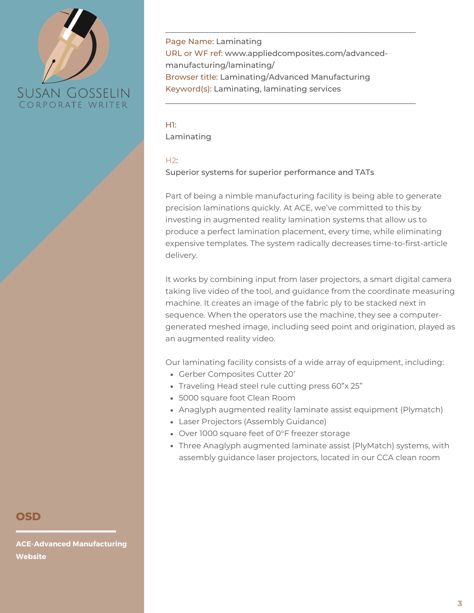

Page Name: Laminating URL or WF ref: www.appliedcomposites.com/advancedmanufacturing/laminating/ Browser title: Laminating/Advanced Manufacturing Keyword(s): Laminating, laminating services

\_\_\_\_\_\_\_\_\_\_\_\_\_\_\_\_\_\_\_\_\_\_\_\_\_\_\_\_\_\_\_\_\_\_\_\_\_\_\_\_\_\_\_\_\_\_\_\_\_\_\_\_\_\_\_\_\_\_\_\_\_\_\_\_

\_\_\_\_\_\_\_\_\_\_\_\_\_\_\_\_\_\_\_\_\_\_\_\_\_\_\_\_\_\_\_\_\_\_\_\_\_\_\_\_\_\_\_\_\_\_\_\_\_\_\_\_\_\_\_\_\_\_\_\_\_\_\_\_

H1: Laminating

### $H2:$

Superior systems for superior performance and TATs

Part of being a nimble manufacturing facility is being able to generate precision laminations quickly. At ACE, we've committed to this by investing in augmented reality lamination systems that allow us to produce a perfect lamination placement, every time, while eliminating expensive templates. The system radically decreases time-to-first-article delivery.

It works by combining input from laser projectors, a smart digital camera taking live video of the tool, and guidance from the coordinate measuring machine. It creates an image of the fabric ply to be stacked next in sequence. When the operators use the machine, they see a computergenerated meshed image, including seed point and origination, played as an augmented reality video.

Our laminating facility consists of a wide array of equipment, including:

- Gerber Composites Cutter 20'
- Traveling Head steel rule cutting press 60"x 25"
- 5000 square foot Clean Room
- Anaglyph augmented reality laminate assist equipment (Plymatch)
- Laser Projectors (Assembly Guidance)
- Over 1000 square feet of 0°F freezer storage
- Three Anaglyph augmented laminate assist (PlyMatch) systems, with assembly guidance laser projectors, located in our CCA clean room

## **OSD**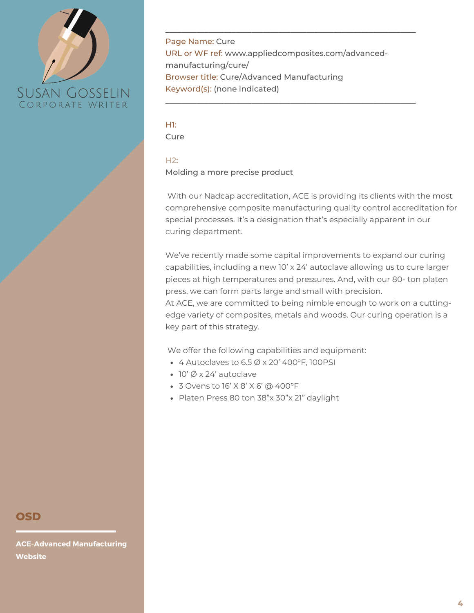

Page Name: Cure URL or WF ref: www.appliedcomposites.com/advancedmanufacturing/cure/ Browser title: Cure/Advanced Manufacturing Keyword(s): (none indicated)

\_\_\_\_\_\_\_\_\_\_\_\_\_\_\_\_\_\_\_\_\_\_\_\_\_\_\_\_\_\_\_\_\_\_\_\_\_\_\_\_\_\_\_\_\_\_\_\_\_\_\_\_\_\_\_\_\_\_\_\_\_\_\_\_

\_\_\_\_\_\_\_\_\_\_\_\_\_\_\_\_\_\_\_\_\_\_\_\_\_\_\_\_\_\_\_\_\_\_\_\_\_\_\_\_\_\_\_\_\_\_\_\_\_\_\_\_\_\_\_\_\_\_\_\_\_\_\_\_

H1: Cure

### $H2:$

Molding a more precise product

With our Nadcap accreditation, ACE is providing its clients with the most comprehensive composite manufacturing quality control accreditation for special processes. It's a designation that's especially apparent in our curing department.

We've recently made some capital improvements to expand our curing capabilities, including a new 10' x 24' autoclave allowing us to cure larger pieces at high temperatures and pressures. And, with our 80- ton platen press, we can form parts large and small with precision.

At ACE, we are committed to being nimble enough to work on a cuttingedge variety of composites, metals and woods. Our curing operation is a key part of this strategy.

We offer the following capabilities and equipment:

- $\bullet$  4 Autoclaves to 6.5  $\emptyset$  x 20' 400°F, 100PSI
- 10' Ø x 24' autoclave
- 3 Ovens to 16' X 8' X 6' @ 400°F
- Platen Press 80 ton 38"x 30"x 21" daylight

## **OSD**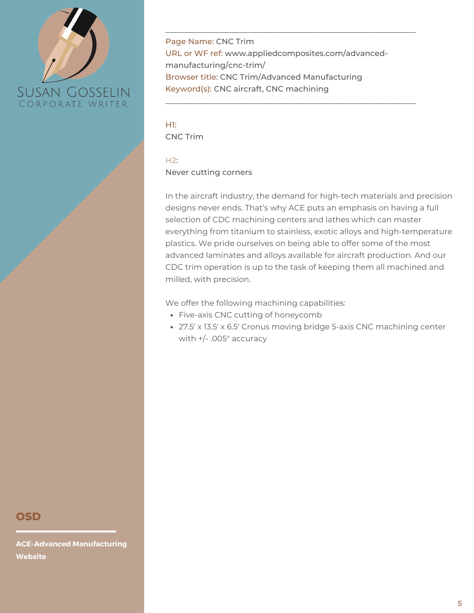

Page Name: CNC Trim URL or WF ref: www.appliedcomposites.com/advancedmanufacturing/cnc-trim/ Browser title: CNC Trim/Advanced Manufacturing Keyword(s): CNC aircraft, CNC machining

\_\_\_\_\_\_\_\_\_\_\_\_\_\_\_\_\_\_\_\_\_\_\_\_\_\_\_\_\_\_\_\_\_\_\_\_\_\_\_\_\_\_\_\_\_\_\_\_\_\_\_\_\_\_\_\_\_\_\_\_\_\_\_\_

\_\_\_\_\_\_\_\_\_\_\_\_\_\_\_\_\_\_\_\_\_\_\_\_\_\_\_\_\_\_\_\_\_\_\_\_\_\_\_\_\_\_\_\_\_\_\_\_\_\_\_\_\_\_\_\_\_\_\_\_\_\_\_\_

H1: CNC Trim

### $H2:$

Never cutting corners

In the aircraft industry, the demand for high-tech materials and precision designs never ends. That's why ACE puts an emphasis on having a full selection of CDC machining centers and lathes which can master everything from titanium to stainless, exotic alloys and high-temperature plastics. We pride ourselves on being able to offer some of the most advanced laminates and alloys available for aircraft production. And our CDC trim operation is up to the task of keeping them all machined and milled, with precision.

We offer the following machining capabilities:

- Five-axis CNC cutting of honeycomb
- 27.5′ x 13.5′ x 6.5′ Cronus moving bridge 5-axis CNC machining center with +/- .005″ accuracy

## **OSD**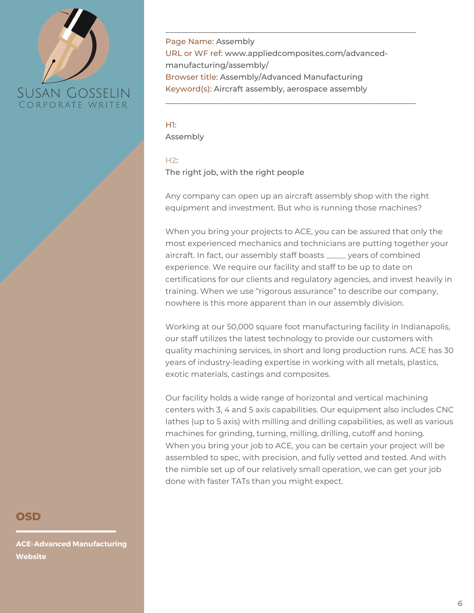

Page Name: Assembly URL or WF ref: www.appliedcomposites.com/advancedmanufacturing/assembly/ Browser title: Assembly/Advanced Manufacturing Keyword(s): Aircraft assembly, aerospace assembly

\_\_\_\_\_\_\_\_\_\_\_\_\_\_\_\_\_\_\_\_\_\_\_\_\_\_\_\_\_\_\_\_\_\_\_\_\_\_\_\_\_\_\_\_\_\_\_\_\_\_\_\_\_\_\_\_\_\_\_\_\_\_\_\_

\_\_\_\_\_\_\_\_\_\_\_\_\_\_\_\_\_\_\_\_\_\_\_\_\_\_\_\_\_\_\_\_\_\_\_\_\_\_\_\_\_\_\_\_\_\_\_\_\_\_\_\_\_\_\_\_\_\_\_\_\_\_\_\_

H1: Assembly

### $H2:$

The right job, with the right people

Any company can open up an aircraft assembly shop with the right equipment and investment. But who is running those machines?

When you bring your projects to ACE, you can be assured that only the most experienced mechanics and technicians are putting together your aircraft. In fact, our assembly staff boasts \_\_\_\_\_ years of combined experience. We require our facility and staff to be up to date on certifications for our clients and regulatory agencies, and invest heavily in training. When we use "rigorous assurance" to describe our company, nowhere is this more apparent than in our assembly division.

Working at our 50,000 square foot manufacturing facility in Indianapolis, our staff utilizes the latest technology to provide our customers with quality machining services, in short and long production runs. ACE has 30 years of industry-leading expertise in working with all metals, plastics, exotic materials, castings and composites.

When you bring your job to ACE, you can be certain your project will be assembled to spec, with precision, and fully vetted and tested. And with the nimble set up of our relatively small operation, we can get your job done with faster TATs than you might expect. Our facility holds a wide range of horizontal and vertical machining centers with 3, 4 and 5 axis capabilities. Our equipment also includes CNC lathes (up to 5 axis) with milling and drilling capabilities, as well as various machines for grinding, turning, milling, drilling, cutoff and honing.

# **OSD**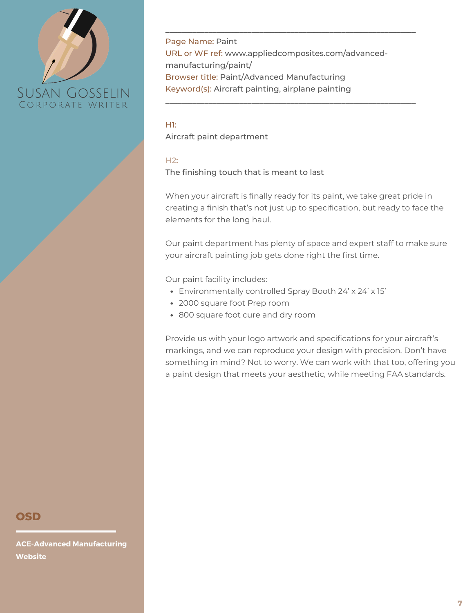

Page Name: Paint URL or WF ref: www.appliedcomposites.com/advancedmanufacturing/paint/ Browser title: Paint/Advanced Manufacturing Keyword(s): Aircraft painting, airplane painting

\_\_\_\_\_\_\_\_\_\_\_\_\_\_\_\_\_\_\_\_\_\_\_\_\_\_\_\_\_\_\_\_\_\_\_\_\_\_\_\_\_\_\_\_\_\_\_\_\_\_\_\_\_\_\_\_\_\_\_\_\_\_\_\_

\_\_\_\_\_\_\_\_\_\_\_\_\_\_\_\_\_\_\_\_\_\_\_\_\_\_\_\_\_\_\_\_\_\_\_\_\_\_\_\_\_\_\_\_\_\_\_\_\_\_\_\_\_\_\_\_\_\_\_\_\_\_\_\_

H1:

Aircraft paint department

#### $H2:$

The finishing touch that is meant to last

When your aircraft is finally ready for its paint, we take great pride in creating a finish that's not just up to specification, but ready to face the elements for the long haul.

Our paint department has plenty of space and expert staff to make sure your aircraft painting job gets done right the first time.

Our paint facility includes:

- Environmentally controlled Spray Booth 24' x 24' x 15'
- 2000 square foot Prep room
- 800 square foot cure and dry room

Provide us with your logo artwork and specifications for your aircraft's markings, and we can reproduce your design with precision. Don't have something in mind? Not to worry. We can work with that too, offering you a paint design that meets your aesthetic, while meeting FAA standards.

## **OSD**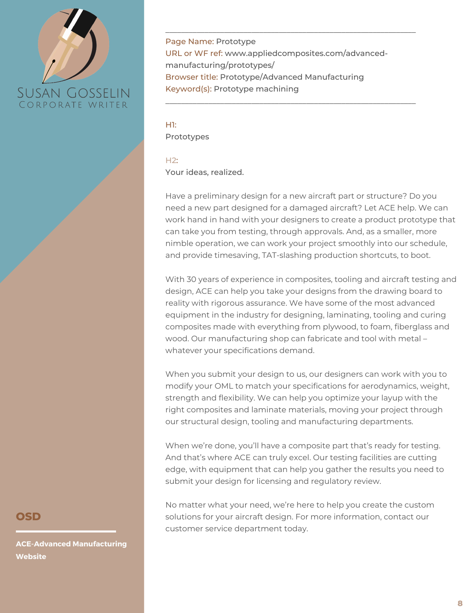

Page Name: Prototype URL or WF ref: www.appliedcomposites.com/advancedmanufacturing/prototypes/ Browser title: Prototype/Advanced Manufacturing Keyword(s): Prototype machining

\_\_\_\_\_\_\_\_\_\_\_\_\_\_\_\_\_\_\_\_\_\_\_\_\_\_\_\_\_\_\_\_\_\_\_\_\_\_\_\_\_\_\_\_\_\_\_\_\_\_\_\_\_\_\_\_\_\_\_\_\_\_\_\_

\_\_\_\_\_\_\_\_\_\_\_\_\_\_\_\_\_\_\_\_\_\_\_\_\_\_\_\_\_\_\_\_\_\_\_\_\_\_\_\_\_\_\_\_\_\_\_\_\_\_\_\_\_\_\_\_\_\_\_\_\_\_\_\_

H1: Prototypes

 $H2:$ 

Your ideas, realized.

Have a preliminary design for a new aircraft part or structure? Do you need a new part designed for a damaged aircraft? Let ACE help. We can work hand in hand with your designers to create a product prototype that can take you from testing, through approvals. And, as a smaller, more nimble operation, we can work your project smoothly into our schedule, and provide timesaving, TAT-slashing production shortcuts, to boot.

With 30 years of experience in composites, tooling and aircraft testing and design, ACE can help you take your designs from the drawing board to reality with rigorous assurance. We have some of the most advanced equipment in the industry for designing, laminating, tooling and curing composites made with everything from plywood, to foam, fiberglass and wood. Our manufacturing shop can fabricate and tool with metal – whatever your specifications demand.

When you submit your design to us, our designers can work with you to modify your OML to match your specifications for aerodynamics, weight, strength and flexibility. We can help you optimize your layup with the right composites and laminate materials, moving your project through our structural design, tooling and manufacturing departments.

When we're done, you'll have a composite part that's ready for testing. And that's where ACE can truly excel. Our testing facilities are cutting edge, with equipment that can help you gather the results you need to submit your design for licensing and regulatory review.

No matter what your need, we're here to help you create the custom solutions for your aircraft design. For more information, contact our customer service department today.

## **OSD**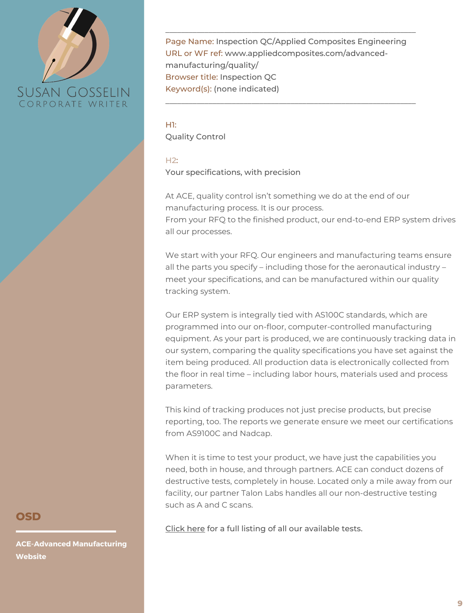

Page Name: Inspection QC/Applied Composites Engineering URL or WF ref: www.appliedcomposites.com/advancedmanufacturing/quality/ Browser title: Inspection QC Keyword(s): (none indicated)

\_\_\_\_\_\_\_\_\_\_\_\_\_\_\_\_\_\_\_\_\_\_\_\_\_\_\_\_\_\_\_\_\_\_\_\_\_\_\_\_\_\_\_\_\_\_\_\_\_\_\_\_\_\_\_\_\_\_\_\_\_\_\_\_

\_\_\_\_\_\_\_\_\_\_\_\_\_\_\_\_\_\_\_\_\_\_\_\_\_\_\_\_\_\_\_\_\_\_\_\_\_\_\_\_\_\_\_\_\_\_\_\_\_\_\_\_\_\_\_\_\_\_\_\_\_\_\_\_

H1: Quality Control

### $H2:$

Your specifications, with precision

At ACE, quality control isn't something we do at the end of our manufacturing process. It is our process. From your RFQ to the finished product, our end-to-end ERP system drives all our processes.

We start with your RFQ. Our engineers and manufacturing teams ensure all the parts you specify – including those for the aeronautical industry – meet your specifications, and can be manufactured within our quality tracking system.

Our ERP system is integrally tied with AS100C standards, which are programmed into our on-floor, computer-controlled manufacturing equipment. As your part is produced, we are continuously tracking data in our system, comparing the quality specifications you have set against the item being produced. All production data is electronically collected from the floor in real time – including labor hours, materials used and process parameters.

This kind of tracking produces not just precise products, but precise reporting, too. The reports we generate ensure we meet our certifications from AS9100C and Nadcap.

When it is time to test your product, we have just the capabilities you need, both in house, and through partners. ACE can conduct dozens of destructive tests, completely in house. Located only a mile away from our facility, our partner Talon Labs handles all our non-destructive testing such as A and C scans.

[Click](http://www.appliedcomposites.com/wp-content/uploads/documents/ACE-MRO-Flyer.pdf) here for a full listing of all our available tests.

## **OSD**